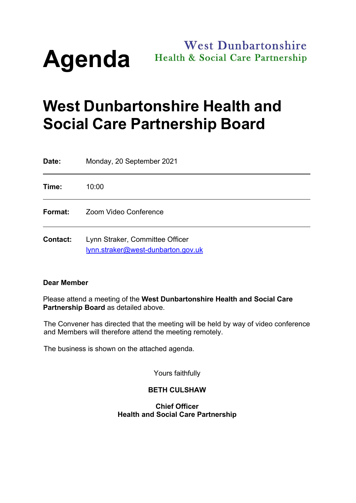

# **West Dunbartonshire** Health & Social Care Partnership

# **West Dunbartonshire Health and Social Care Partnership Board**

| Date:           | Monday, 20 September 2021                                             |
|-----------------|-----------------------------------------------------------------------|
| Time:           | 10:00                                                                 |
| Format:         | Zoom Video Conference                                                 |
| <b>Contact:</b> | Lynn Straker, Committee Officer<br>lynn.straker@west-dunbarton.gov.uk |

#### **Dear Member**

Please attend a meeting of the **West Dunbartonshire Health and Social Care Partnership Board** as detailed above.

The Convener has directed that the meeting will be held by way of video conference and Members will therefore attend the meeting remotely.

The business is shown on the attached agenda.

Yours faithfully

# **BETH CULSHAW**

#### **Chief Officer Health and Social Care Partnership**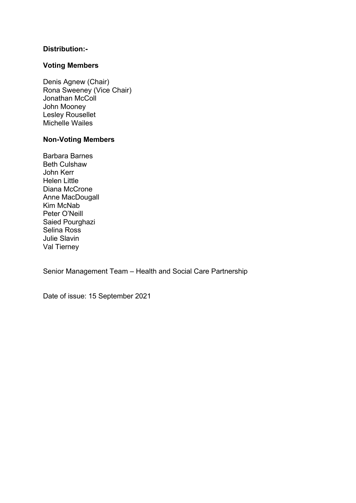# **Distribution:-**

#### **Voting Members**

Denis Agnew (Chair) Rona Sweeney (Vice Chair) Jonathan McColl John Mooney Lesley Rousellet Michelle Wailes

#### **Non-Voting Members**

Barbara Barnes Beth Culshaw John Kerr Helen Little Diana McCrone Anne MacDougall Kim McNab Peter O'Neill Saied Pourghazi Selina Ross Julie Slavin Val Tierney

Senior Management Team – Health and Social Care Partnership

Date of issue: 15 September 2021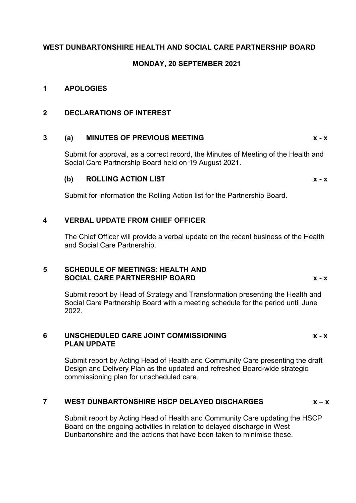# **WEST DUNBARTONSHIRE HEALTH AND SOCIAL CARE PARTNERSHIP BOARD**

#### **MONDAY, 20 SEPTEMBER 2021**

#### **1 APOLOGIES**

#### **2 DECLARATIONS OF INTEREST**

#### **3 (a) MINUTES OF PREVIOUS MEETING x - x**

Submit for approval, as a correct record, the Minutes of Meeting of the Health and Social Care Partnership Board held on 19 August 2021.

#### **(b) ROLLING ACTION LIST x - x**

Submit for information the Rolling Action list for the Partnership Board.

# **4 VERBAL UPDATE FROM CHIEF OFFICER**

The Chief Officer will provide a verbal update on the recent business of the Health and Social Care Partnership.

#### **5 SCHEDULE OF MEETINGS: HEALTH AND SOCIAL CARE PARTNERSHIP BOARD x - x**

Submit report by Head of Strategy and Transformation presenting the Health and Social Care Partnership Board with a meeting schedule for the period until June 2022.

#### **6 UNSCHEDULED CARE JOINT COMMISSIONING x - x PLAN UPDATE**

Submit report by Acting Head of Health and Community Care presenting the draft Design and Delivery Plan as the updated and refreshed Board-wide strategic commissioning plan for unscheduled care.

#### **7 WEST DUNBARTONSHIRE HSCP DELAYED DISCHARGES x – x**

Submit report by Acting Head of Health and Community Care updating the HSCP Board on the ongoing activities in relation to delayed discharge in West Dunbartonshire and the actions that have been taken to minimise these.